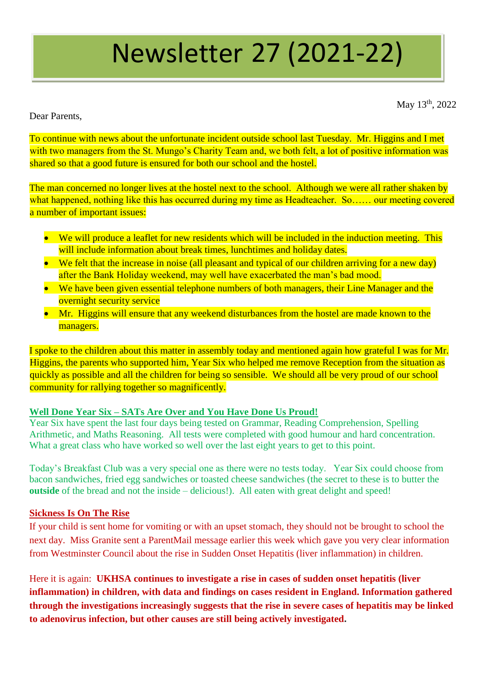# Newsletter 27 (2021-22)

May 13<sup>th</sup>, 2022

Dear Parents,

To continue with news about the unfortunate incident outside school last Tuesday. Mr. Higgins and I met with two managers from the St. Mungo's Charity Team and, we both felt, a lot of positive information was shared so that a good future is ensured for both our school and the hostel.

The man concerned no longer lives at the hostel next to the school. Although we were all rather shaken by what happened, nothing like this has occurred during my time as Headteacher. So…… our meeting covered a number of important issues:

- We will produce a leaflet for new residents which will be included in the induction meeting. This will include information about break times, lunchtimes and holiday dates.
- We felt that the increase in noise (all pleasant and typical of our children arriving for a new day) after the Bank Holiday weekend, may well have exacerbated the man's bad mood.
- We have been given essential telephone numbers of both managers, their Line Manager and the overnight security service
- Mr. Higgins will ensure that any weekend disturbances from the hostel are made known to the managers.

I spoke to the children about this matter in assembly today and mentioned again how grateful I was for Mr. Higgins, the parents who supported him, Year Six who helped me remove Reception from the situation as quickly as possible and all the children for being so sensible. We should all be very proud of our school community for rallying together so magnificently.

# **Well Done Year Six – SATs Are Over and You Have Done Us Proud!**

Year Six have spent the last four days being tested on Grammar, Reading Comprehension, Spelling Arithmetic, and Maths Reasoning. All tests were completed with good humour and hard concentration. What a great class who have worked so well over the last eight years to get to this point.

Today's Breakfast Club was a very special one as there were no tests today. Year Six could choose from bacon sandwiches, fried egg sandwiches or toasted cheese sandwiches (the secret to these is to butter the **outside** of the bread and not the inside – delicious!). All eaten with great delight and speed!

# **Sickness Is On The Rise**

If your child is sent home for vomiting or with an upset stomach, they should not be brought to school the next day. Miss Granite sent a ParentMail message earlier this week which gave you very clear information from Westminster Council about the rise in Sudden Onset Hepatitis (liver inflammation) in children.

Here it is again: **UKHSA continues to investigate a rise in cases of sudden onset hepatitis (liver inflammation) in children, with data and findings on cases resident in England. Information gathered through the investigations increasingly suggests that the rise in severe cases of hepatitis may be linked to adenovirus infection, but other causes are still being actively investigated.**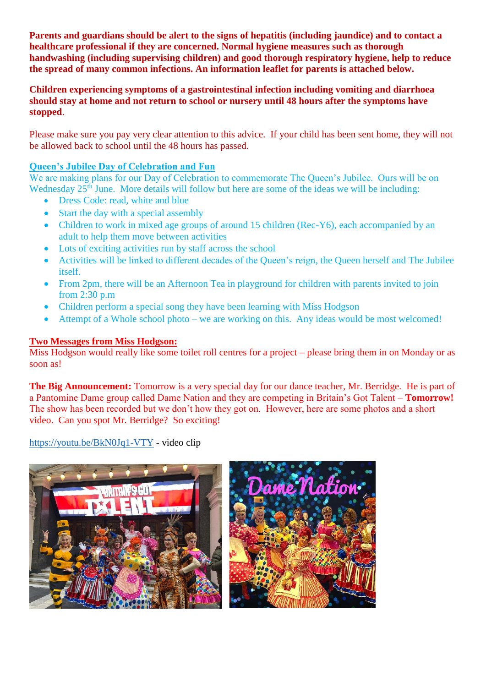**Parents and guardians should be alert to the signs of hepatitis (including jaundice) and to contact a healthcare professional if they are concerned. Normal hygiene measures such as thorough handwashing (including supervising children) and good thorough respiratory hygiene, help to reduce the spread of many common infections. An information leaflet for parents is attached below.**

**Children experiencing symptoms of a gastrointestinal infection including vomiting and diarrhoea should stay at home and not return to school or nursery until 48 hours after the symptoms have stopped**.

Please make sure you pay very clear attention to this advice. If your child has been sent home, they will not be allowed back to school until the 48 hours has passed.

#### **Queen's Jubilee Day of Celebration and Fun**

We are making plans for our Day of Celebration to commemorate The Queen's Jubilee. Ours will be on Wednesday 25<sup>th</sup> June. More details will follow but here are some of the ideas we will be including:

- Dress Code: read, white and blue
- Start the day with a special assembly
- Children to work in mixed age groups of around 15 children (Rec-Y6), each accompanied by an adult to help them move between activities
- Lots of exciting activities run by staff across the school
- Activities will be linked to different decades of the Queen's reign, the Queen herself and The Jubilee itself.
- From 2pm, there will be an Afternoon Tea in playground for children with parents invited to join from 2:30 p.m
- Children perform a special song they have been learning with Miss Hodgson
- Attempt of a Whole school photo we are working on this. Any ideas would be most welcomed!

### **Two Messages from Miss Hodgson:**

Miss Hodgson would really like some toilet roll centres for a project – please bring them in on Monday or as soon as!

**The Big Announcement:** Tomorrow is a very special day for our dance teacher, Mr. Berridge. He is part of a Pantomine Dame group called Dame Nation and they are competing in Britain's Got Talent – **Tomorrow!** The show has been recorded but we don't how they got on. However, here are some photos and a short video. Can you spot Mr. Berridge? So exciting!

<https://youtu.be/BkN0Jq1-VTY> - video clip

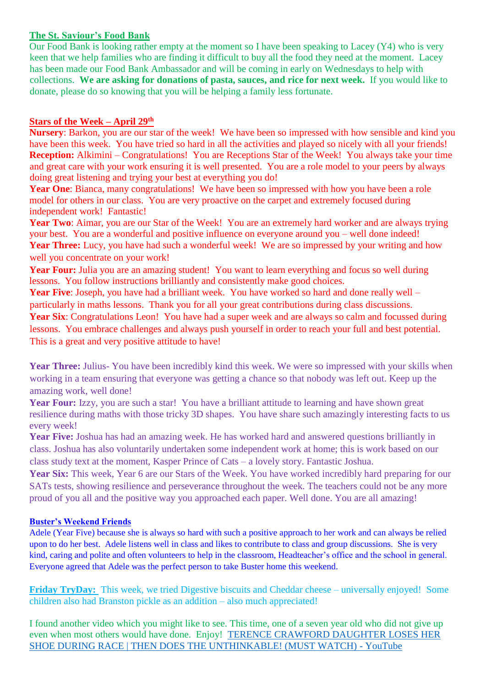# **The St. Saviour's Food Bank**

Our Food Bank is looking rather empty at the moment so I have been speaking to Lacey (Y4) who is very keen that we help families who are finding it difficult to buy all the food they need at the moment. Lacey has been made our Food Bank Ambassador and will be coming in early on Wednesdays to help with collections. **We are asking for donations of pasta, sauces, and rice for next week.** If you would like to donate, please do so knowing that you will be helping a family less fortunate.

#### **Stars of the Week – April 29th**

**Nursery**: Barkon, you are our star of the week! We have been so impressed with how sensible and kind you have been this week. You have tried so hard in all the activities and played so nicely with all your friends! **Reception:** Alkimini – Congratulations! You are Receptions Star of the Week! You always take your time and great care with your work ensuring it is well presented. You are a role model to your peers by always doing great listening and trying your best at everything you do!

Year One: Bianca, many congratulations! We have been so impressed with how you have been a role model for others in our class. You are very proactive on the carpet and extremely focused during independent work! Fantastic!

Year Two: Aimar, you are our Star of the Week! You are an extremely hard worker and are always trying your best. You are a wonderful and positive influence on everyone around you – well done indeed! Year Three: Lucy, you have had such a wonderful week! We are so impressed by your writing and how well you concentrate on your work!

Year Four: Julia you are an amazing student! You want to learn everything and focus so well during lessons. You follow instructions brilliantly and consistently make good choices.

**Year Five**: Joseph, you have had a brilliant week. You have worked so hard and done really well – particularly in maths lessons. Thank you for all your great contributions during class discussions. **Year Six**: Congratulations Leon! You have had a super week and are always so calm and focussed during lessons. You embrace challenges and always push yourself in order to reach your full and best potential. This is a great and very positive attitude to have!

Year Three: Julius- You have been incredibly kind this week. We were so impressed with your skills when working in a team ensuring that everyone was getting a chance so that nobody was left out. Keep up the amazing work, well done!

Year Four: Izzy, you are such a star! You have a brilliant attitude to learning and have shown great resilience during maths with those tricky 3D shapes. You have share such amazingly interesting facts to us every week!

**Year Five:** Joshua has had an amazing week. He has worked hard and answered questions brilliantly in class. Joshua has also voluntarily undertaken some independent work at home; this is work based on our class study text at the moment, Kasper Prince of Cats – a lovely story. Fantastic Joshua.

Year Six: This week, Year 6 are our Stars of the Week. You have worked incredibly hard preparing for our SATs tests, showing resilience and perseverance throughout the week. The teachers could not be any more proud of you all and the positive way you approached each paper. Well done. You are all amazing!

# **Buster's Weekend Friends**

Adele (Year Five) because she is always so hard with such a positive approach to her work and can always be relied upon to do her best. Adele listens well in class and likes to contribute to class and group discussions. She is very kind, caring and polite and often volunteers to help in the classroom, Headteacher's office and the school in general. Everyone agreed that Adele was the perfect person to take Buster home this weekend.

**Friday TryDay:** This week, we tried Digestive biscuits and Cheddar cheese – universally enjoyed! Some children also had Branston pickle as an addition – also much appreciated!

I found another video which you might like to see. This time, one of a seven year old who did not give up even when most others would have done. Enjoy! [TERENCE CRAWFORD DAUGHTER LOSES HER](https://www.youtube.com/watch?v=nmPhmU3xiWw)  [SHOE DURING RACE | THEN DOES THE UNTHINKABLE! \(MUST WATCH\) -](https://www.youtube.com/watch?v=nmPhmU3xiWw) YouTube